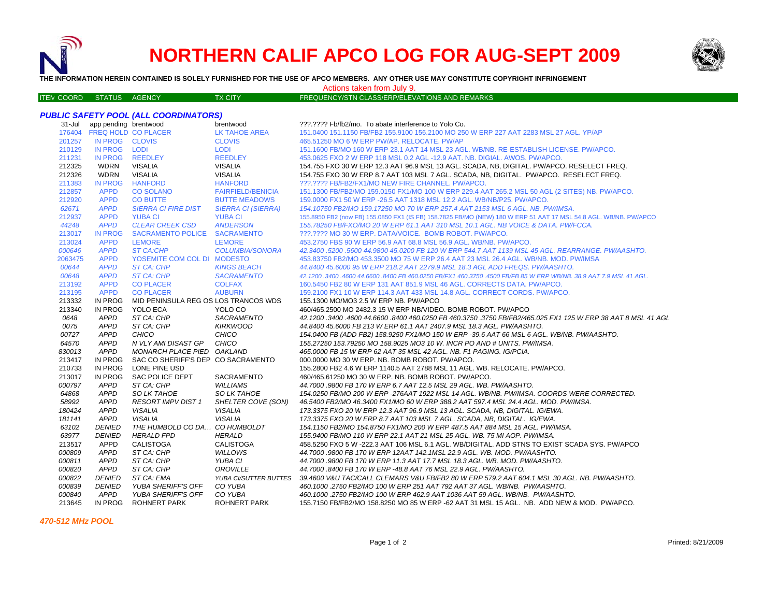

## **NORTHERN CALIF APCO LOG FOR AUG-SEPT 2009**



**THE INFORMATION HEREIN CONTAINED IS SOLELY FURNISHED FOR THE USE OF APCO MEMBERS. ANY OTHER USE MAY CONSTITUTE COPYRIGHT INFRINGEMENT**

Actions taken from July 9.

| <b>ITEN COORD</b> | STATUS | <b>AGENCY</b> | <b>TX CITY</b> | Ⅰ FREQUENCY/STN CLASS/ERP/ELEVATIONS AND REMARKS ↑ |  |
|-------------------|--------|---------------|----------------|----------------------------------------------------|--|
|                   |        |               |                |                                                    |  |

## *PUBLIC SAFETY POOL (ALL COORDINATORS)*

| 31-Jul           | app pending brentwood      |                                           | brentwood                 | ???.???? Fb/fb2/mo. To abate interference to Yolo Co.                                                                                                                     |
|------------------|----------------------------|-------------------------------------------|---------------------------|---------------------------------------------------------------------------------------------------------------------------------------------------------------------------|
| 176404           | <b>FREQ HOLD CO PLACER</b> |                                           | <b>LK TAHOE AREA</b>      | 151.0400 151.1150 FB/FB2 155.9100 156.2100 MO 250 W ERP 227 AAT 2283 MSL 27 AGL, YP/AP                                                                                    |
| 201257           | IN PROG CLOVIS             |                                           | <b>CLOVIS</b>             | 465.51250 MO 6 W ERP PW/AP, RELOCATE, PW/AP                                                                                                                               |
| 210129           | <b>IN PROG</b>             | <b>LODI</b>                               | <b>LODI</b>               | 151.1600 FB/MO 160 W ERP 23.1 AAT 14 MSL 23 AGL. WB/NB. RE-ESTABLISH LICENSE. PW/APCO.                                                                                    |
| 211231           | IN PROG                    | <b>REEDLEY</b>                            | <b>REEDLEY</b>            | 453.0625 FXO 2 W ERP 118 MSL 0.2 AGL -12.9 AAT. NB. DIGIAL. AWOS. PW/APCO.                                                                                                |
| 212325           | <b>WDRN</b>                | <b>VISALIA</b>                            | <b>VISALIA</b>            | 154.755 FXO 30 W ERP 12.3 AAT 96.9 MSL 13 AGL. SCADA, NB, DIGITAL. PW/APCO. RESELECT FREQ.                                                                                |
| 212326           | <b>WDRN</b>                | <b>VISALIA</b>                            | <b>VISALIA</b>            | 154.755 FXO 30 W ERP 8.7 AAT 103 MSL 7 AGL. SCADA, NB, DIGITAL. PW/APCO. RESELECT FREQ.                                                                                   |
| 211383           | <b>IN PROG</b>             | <b>HANFORD</b>                            | <b>HANFORD</b>            | ???.???? FB/FB2/FX1/MO NEW FIRE CHANNEL. PW/APCO.                                                                                                                         |
| 212857           | <b>APPD</b>                | <b>CO SOLANO</b>                          | <b>FAIRFIELD/BENICIA</b>  | 151.1300 FB/FB2/MO 159.0150 FX1/MO 100 W ERP 229.4 AAT 265.2 MSL 50 AGL (2 SITES) NB. PW/APCO.                                                                            |
| 212920           | <b>APPD</b>                | <b>CO BUTTE</b>                           | <b>BUTTE MEADOWS</b>      | 159.0000 FX1 50 W ERP - 26.5 AAT 1318 MSL 12.2 AGL. WB/NB/P25. PW/APCO.                                                                                                   |
| 62671            | <b>APPD</b>                | <b>SIERRA CI FIRE DIST</b>                | <b>SIERRA CI (SIERRA)</b> | 154.10750 FB2/MO 159.17250 MO 70 W ERP 257.4 AAT 2153 MSL 6 AGL. NB. PW/IMSA.                                                                                             |
| 212937           | <b>APPD</b>                | <b>YUBA CI</b>                            | <b>YUBA CI</b>            | 155.8950 FB2 (now FB) 155.0850 FX1 (IS FB) 158.7825 FB/MO (NEW) 180 W ERP 51 AAT 17 MSL 54.8 AGL. WB/NB. PW/APCO                                                          |
| 44248            | <b>APPD</b>                | <b>CLEAR CREEK CSD</b>                    | <b>ANDERSON</b>           | 155.78250 FB/FXO/MO 20 W ERP 61.1 AAT 310 MSL 10.1 AGL, NB VOICE & DATA, PW/FCCA,                                                                                         |
| 213017           | <b>IN PROG</b>             | <b>SACRAMENTO POLICE</b>                  | <b>SACRAMENTO</b>         | ???.???? MO 30 W ERP. DATA/VOICE. BOMB ROBOT. PW/APCO.                                                                                                                    |
| 213024           | <b>APPD</b>                | <b>LEMORE</b>                             | <b>LEMORE</b>             | 453.2750 FBS 90 W ERP 56.9 AAT 68.8 MSL 56.9 AGL. WB/NB. PW/APCO.                                                                                                         |
| 000646           | <b>APPD</b>                | <b>ST CA:CHP</b>                          | <b>COLUMBIA/SONORA</b>    | 42.3400.5200.5600 44.9800 45.0200 FB 120 W ERP 544.7 AAT 1139 MSL 45 AGL. REARRANGE. PW/AASHTO.                                                                           |
| 2063475          | <b>APPD</b>                | YOSEMITE COM COL DI MODESTO               |                           | 453.83750 FB2/MO 453.3500 MO 75 W ERP 26.4 AAT 23 MSL 26.4 AGL, WB/NB, MOD, PW/IMSA                                                                                       |
| 00644            | <b>APPD</b>                | ST CA: CHP                                | <b>KINGS BEACH</b>        | 44.8400 45.6000 95 W ERP 218.2 AAT 2279.9 MSL 18.3 AGL ADD FREQS. PW/AASHTO.                                                                                              |
| 00648            | <b>APPD</b>                | ST CA: CHP                                | <b>SACRAMENTO</b>         | 42.1200 .3400 .4600 44.6600 .8400 FB 460.0250 FB/FX1 460.3750 .4500 FB/FB 85 W ERP WB/NB. 38.9 AAT 7.9 MSL 41 AGL.                                                        |
| 213192           | <b>APPD</b>                | <b>CO PLACER</b>                          | <b>COLFAX</b>             | 160.5450 FB2 80 W ERP 131 AAT 851.9 MSL 46 AGL. CORRECTS DATA. PW/APCO.                                                                                                   |
| 213195           | <b>APPD</b>                | <b>CO PLACER</b>                          | <b>AUBURN</b>             | 159.2100 FX1 10 W ERP 114.3 AAT 433 MSL 14.8 AGL, CORRECT CORDS, PW/APCO.                                                                                                 |
| 213332           | <b>IN PROG</b>             | MID PENINSULA REG OS LOS TRANCOS WDS      |                           | 155.1300 MO/MO3 2.5 W ERP NB. PW/APCO                                                                                                                                     |
| 213340           | <b>IN PROG</b>             | YOLO ECA                                  | YOLO CO                   | 460/465.2500 MO 2482.3 15 W ERP NB/VIDEO, BOMB ROBOT, PW/APCO                                                                                                             |
|                  |                            |                                           |                           |                                                                                                                                                                           |
| 0648             | <b>APPD</b>                | ST CA: CHP                                | <b>SACRAMENTO</b>         | 42.1200 .3400 .4600 44.6600 .8400 460.0250 FB 460.3750 .3750 FB/FB2/465.025 FX1 125 W ERP 38 AAT 8 MSL 41 AGL                                                             |
| 0075             | <b>APPD</b>                | ST CA: CHP                                | <b>KIRKWOOD</b>           | 44.8400 45.6000 FB 213 W ERP 61.1 AAT 2407.9 MSL 18.3 AGL. PW/AASHTO.                                                                                                     |
| 00727            | <b>APPD</b>                | CHICO                                     | CHICO                     | 154.0400 FB (ADD FB2) 158.9250 FX1/MO 150 W ERP -39.6 AAT 66 MSL 6 AGL. WB/NB. PW/AASHTO.                                                                                 |
| 64570            | <b>APPD</b>                | N VLY AMI DISAST GP                       | CHICO                     | 155.27250 153.79250 MO 158.9025 MO3 10 W. INCR PO AND # UNITS, PW/IMSA.                                                                                                   |
| 830013           | <b>APPD</b>                | MONARCH PLACE PIED OAKLAND                |                           | 465,0000 FB 15 W ERP 62 AAT 35 MSL 42 AGL. NB. F1 PAGING, IG/PCIA.                                                                                                        |
| 213417           | <b>IN PROG</b>             | SAC CO SHERIFF'S DEP CO SACRAMENTO        |                           | 000.0000 MO 30 W ERP. NB. BOMB ROBOT. PW/APCO.                                                                                                                            |
| 210733           | IN PROG                    | LONE PINE USD                             |                           | 155.2800 FB2 4.6 W ERP 1140.5 AAT 2788 MSL 11 AGL. WB. RELOCATE. PW/APCO.                                                                                                 |
| 213017           | IN PROG                    | SAC POLICE DEPT                           | SACRAMENTO                | 460/465.61250 MO 30 W ERP. NB. BOMB ROBOT. PW/APCO.                                                                                                                       |
| 000797           | <b>APPD</b>                | ST CA: CHP                                | <b>WILLIAMS</b>           | 44.7000 .9800 FB 170 W ERP 6.7 AAT 12.5 MSL 29 AGL. WB. PW/AASHTO.                                                                                                        |
| 64868            | <b>APPD</b>                | <b>SO LK TAHOE</b>                        | <b>SO LK TAHOE</b>        | 154.0250 FB/MO 200 W ERP -276AAT 1922 MSL 14 AGL. WB/NB. PW/IMSA. COORDS WERE CORRECTED.                                                                                  |
| 58992            | <b>APPD</b>                | <b>RESORT IMPV DIST 1</b>                 | SHELTER COVE (SON)        | 46.5400 FB2/MO 46.3400 FX1/MO 60 W ERP 388.2 AAT 597.4 MSL 24.4 AGL, MOD, PW/IMSA,                                                                                        |
| 180424           | <b>APPD</b>                | VISALIA                                   | <b>VISALIA</b>            | 173.3375 FXO 20 W ERP 12.3 AAT 96.9 MSL 13 AGL. SCADA, NB, DIGITAL. IG/EWA.                                                                                               |
| 181141           | <b>APPD</b>                | <b>VISALIA</b>                            | <b>VISALIA</b>            | 173.3375 FXO 20 W ERP 8.7 AAT 103 MSL 7 AGL. SCADA, NB, DIGITAL. IG/EWA.                                                                                                  |
| 63102            | <b>DENIED</b>              | THE HUMBOLD CO DA CO HUMBOLDT             |                           | 154.1150 FB2/MO 154.8750 FX1/MO 200 W ERP 487.5 AAT 884 MSL 15 AGL. PW/IMSA.                                                                                              |
| 63977            | <b>DENIED</b>              | <b>HERALD FPD</b>                         | <b>HERALD</b>             | 155.9400 FB/MO 110 W ERP 22.1 AAT 21 MSL 25 AGL, WB, 75 MI AOP, PW/IMSA.                                                                                                  |
| 213517           | <b>APPD</b>                | <b>CALISTOGA</b>                          | <b>CALISTOGA</b>          | 458.5250 FXO 5 W -222.3 AAT 106 MSL 6.1 AGL. WB/DIGITAL. ADD STNS TO EXIST SCADA SYS. PW/APCO                                                                             |
| 000809           | <b>APPD</b>                | ST CA: CHP                                | <b>WILLOWS</b>            | 44.7000 .9800 FB 170 W ERP 12AAT 142.1MSL 22.9 AGL. WB. MOD. PW/AASHTO.                                                                                                   |
| 000811           | <b>APPD</b>                | ST CA: CHP                                | YUBA CI                   | 44.7000 .9800 FB 170 W ERP 11.3 AAT 17.7 MSL 18.3 AGL. WB. MOD. PW/AASHTO.                                                                                                |
| 000820           | <b>APPD</b>                | ST CA: CHP                                | OROVILLE                  | 44.7000 8400 FB 170 W ERP -48.8 AAT 76 MSL 22.9 AGL, PW/AASHTO.                                                                                                           |
| 000822           | <b>DENIED</b>              | ST CA: EMA                                | YUBA CI/SUTTER BUTTES     | 39.4600 V&U TAC/CALL CLEMARS V&U FB/FB2 80 W ERP 579.2 AAT 604.1 MSL 30 AGL. NB. PW/AASHTO.                                                                               |
| 000839           | <b>DENIED</b>              | YUBA SHERIFF'S OFF                        | CO YUBA                   | 460.1000 .2750 FB2/MO 100 W ERP 251 AAT 792 AAT 37 AGL. WB/NB. PW/AASHTO.                                                                                                 |
| 000840<br>213645 | APPD<br>IN PROG            | YUBA SHERIFF'S OFF<br><b>ROHNERT PARK</b> | CO YUBA<br>ROHNERT PARK   | 460.1000.2750 FB2/MO 100 W ERP 462.9 AAT 1036 AAT 59 AGL. WB/NB. PW/AASHTO.<br>155.7150 FB/FB2/MO 158.8250 MO 85 W ERP -62 AAT 31 MSL 15 AGL. NB. ADD NEW & MOD. PW/APCO. |

*470-512 MHz POOL*